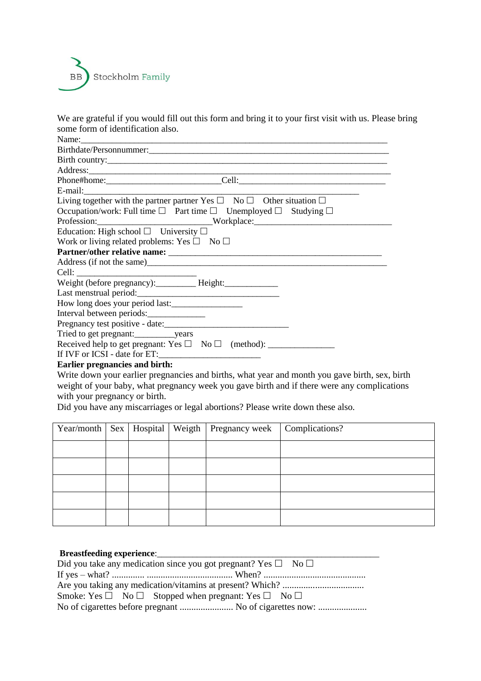

We are grateful if you would fill out this form and bring it to your first visit with us. Please bring some form of identification also.

Name:\_\_\_\_\_\_\_\_\_\_\_\_\_\_\_\_\_\_\_\_\_\_\_\_\_\_\_\_\_\_\_\_\_\_\_\_\_\_\_\_\_\_\_\_\_\_\_\_\_\_\_\_\_\_\_\_\_\_\_\_\_\_\_\_\_\_\_\_\_ Birthdate/Personnummer:\_\_\_\_\_\_\_\_\_\_\_\_\_\_\_\_\_\_\_\_\_\_\_\_\_\_\_\_\_\_\_\_\_\_\_\_\_\_\_\_\_\_\_\_\_\_\_\_\_\_\_\_\_\_ Birth country:\_\_\_\_\_\_\_\_\_\_\_\_\_\_\_\_\_\_\_\_\_\_\_\_\_\_\_\_\_\_\_\_\_\_\_\_\_\_\_\_\_\_\_\_\_\_\_\_\_\_\_\_\_\_\_\_\_\_\_\_\_\_\_ Address:\_\_\_\_\_\_\_\_\_\_\_\_\_\_\_\_\_\_\_\_\_\_\_\_\_\_\_\_\_\_\_\_\_\_\_\_\_\_\_\_\_\_\_\_\_\_\_\_\_\_\_\_\_\_\_\_\_\_\_\_\_\_\_\_\_\_\_\_ Phone#home:\_\_\_\_\_\_\_\_\_\_\_\_\_\_\_\_\_\_\_\_\_\_\_\_\_\_Cell:\_\_\_\_\_\_\_\_\_\_\_\_\_\_\_\_\_\_\_\_\_\_\_\_\_\_\_\_\_\_\_\_\_ E-mail:\_\_\_\_\_\_\_\_\_\_\_\_\_\_\_\_\_\_\_\_\_\_\_\_\_\_\_\_\_\_\_\_\_\_\_\_\_\_\_\_\_\_\_\_\_\_\_\_\_\_\_\_\_\_\_\_\_\_\_\_\_\_ Living together with the partner partner Yes  $\square$  No  $\square$  Other situation  $\square$ Occupation/work: Full time  $\square$  Part time  $\square$  Unemployed  $\square$  Studying  $\square$ Profession:\_\_\_\_\_\_\_\_\_\_\_\_\_\_\_\_\_\_\_\_\_\_\_\_\_\_\_\_\_\_Workplace:\_\_\_\_\_\_\_\_\_\_\_\_\_\_\_\_\_\_\_\_\_\_\_\_\_\_\_\_\_ Education: High school  $\Box$  University  $\Box$ Work or living related problems: Yes  $\square$  No  $\square$ **Partner/other relative name:** \_\_\_\_\_\_\_\_\_\_\_\_\_\_\_\_\_\_\_\_\_\_\_\_\_\_\_\_\_\_\_\_\_\_\_\_\_\_\_\_\_\_\_\_\_\_\_\_ Address (if not the same) Cell: Weight (before pregnancy): Height: Last menstrual period:\_\_\_\_\_\_\_\_\_\_\_\_\_\_\_\_\_\_\_\_\_\_\_\_\_\_\_\_\_\_\_\_ How long does your period last:\_\_\_\_\_\_\_\_\_\_\_\_\_\_\_\_ Interval between periods: Pregnancy test positive - date: Tried to get pregnant:\_\_\_\_\_\_\_\_\_years Received help to get pregnant: Yes No (method): \_\_\_\_\_\_\_\_\_\_\_\_\_\_\_ If IVF or ICSI - date for ET:\_\_\_\_\_\_\_\_\_\_\_\_\_\_\_\_\_\_\_\_\_\_\_ **Earlier pregnancies and birth:** 

Write down your earlier pregnancies and births, what year and month you gave birth, sex, birth weight of your baby, what pregnancy week you gave birth and if there were any complications with your pregnancy or birth.

Did you have any miscarriages or legal abortions? Please write down these also.

|  |  | Year/month   Sex   Hospital   Weigth   Pregnancy week   Complications? |  |
|--|--|------------------------------------------------------------------------|--|
|  |  |                                                                        |  |
|  |  |                                                                        |  |
|  |  |                                                                        |  |
|  |  |                                                                        |  |
|  |  |                                                                        |  |

## **Breastfeeding experience:** Did you take any medication since you got pregnant?  $V_{\text{ee}} \square \square N_{\text{e}} \square$

| Dre you take any incurrent since you got pregnant: $\Gamma$ cs $\Box$ $\Gamma$ vo $\Box$ |
|------------------------------------------------------------------------------------------|
|                                                                                          |
|                                                                                          |
| Smoke: Yes $\square$ No $\square$ Stopped when pregnant: Yes $\square$ No $\square$      |
| No of cigarettes before pregnant  No of cigarettes now:                                  |